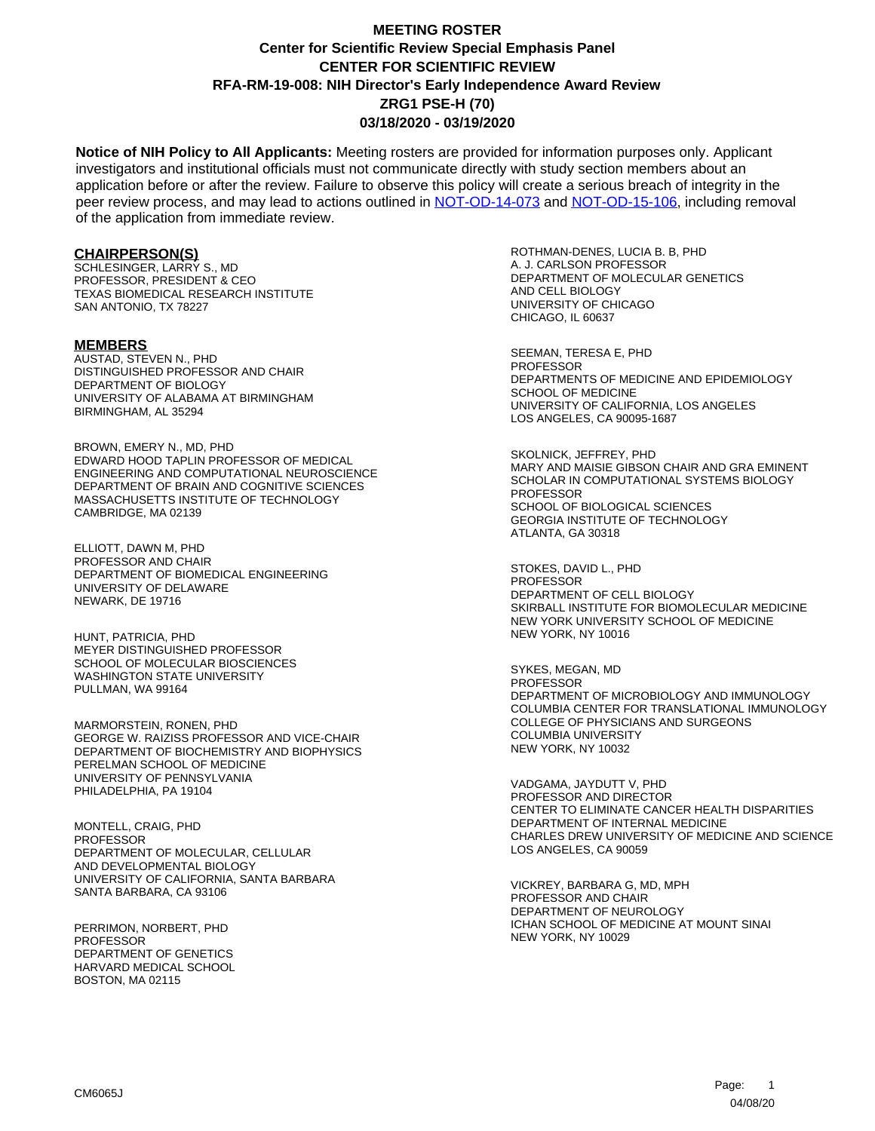**Notice of NIH Policy to All Applicants:** Meeting rosters are provided for information purposes only. Applicant investigators and institutional officials must not communicate directly with study section members about an application before or after the review. Failure to observe this policy will create a serious breach of integrity in the peer review process, and may lead to actions outlined in [NOT-OD-14-073](https://grants.nih.gov/grants/guide/notice-files/NOT-OD-14-073.html) and [NOT-OD-15-106,](https://grants.nih.gov/grants/guide/notice-files/NOT-OD-15-106.html) including removal of the application from immediate review.

#### **CHAIRPERSON(S)**

SCHLESINGER, LARRY S., MD PROFESSOR, PRESIDENT & CEO TEXAS BIOMEDICAL RESEARCH INSTITUTE SAN ANTONIO, TX 78227

#### **MEMBERS**

AUSTAD, STEVEN N., PHD DISTINGUISHED PROFESSOR AND CHAIR DEPARTMENT OF BIOLOGY UNIVERSITY OF ALABAMA AT BIRMINGHAM BIRMINGHAM, AL 35294

BROWN, EMERY N., MD, PHD EDWARD HOOD TAPLIN PROFESSOR OF MEDICAL ENGINEERING AND COMPUTATIONAL NEUROSCIENCE DEPARTMENT OF BRAIN AND COGNITIVE SCIENCES MASSACHUSETTS INSTITUTE OF TECHNOLOGY CAMBRIDGE, MA 02139

ELLIOTT, DAWN M, PHD PROFESSOR AND CHAIR DEPARTMENT OF BIOMEDICAL ENGINEERING UNIVERSITY OF DELAWARE NEWARK, DE 19716

HUNT, PATRICIA, PHD MEYER DISTINGUISHED PROFESSOR SCHOOL OF MOLECULAR BIOSCIENCES WASHINGTON STATE UNIVERSITY PULLMAN, WA 99164

MARMORSTEIN, RONEN, PHD GEORGE W. RAIZISS PROFESSOR AND VICE-CHAIR DEPARTMENT OF BIOCHEMISTRY AND BIOPHYSICS PERELMAN SCHOOL OF MEDICINE UNIVERSITY OF PENNSYLVANIA PHILADELPHIA, PA 19104

MONTELL, CRAIG, PHD **PROFESSOR** DEPARTMENT OF MOLECULAR, CELLULAR AND DEVELOPMENTAL BIOLOGY UNIVERSITY OF CALIFORNIA, SANTA BARBARA SANTA BARBARA, CA 93106

PERRIMON, NORBERT, PHD PROFESSOR DEPARTMENT OF GENETICS HARVARD MEDICAL SCHOOL BOSTON, MA 02115

ROTHMAN-DENES, LUCIA B. B, PHD A. J. CARLSON PROFESSOR DEPARTMENT OF MOLECULAR GENETICS AND CELL BIOLOGY UNIVERSITY OF CHICAGO CHICAGO, IL 60637

SEEMAN, TERESA E, PHD **PROFESSOR** DEPARTMENTS OF MEDICINE AND EPIDEMIOLOGY SCHOOL OF MEDICINE UNIVERSITY OF CALIFORNIA, LOS ANGELES LOS ANGELES, CA 90095-1687

SKOLNICK, JEFFREY, PHD MARY AND MAISIE GIBSON CHAIR AND GRA EMINENT SCHOLAR IN COMPUTATIONAL SYSTEMS BIOLOGY PROFESSOR SCHOOL OF BIOLOGICAL SCIENCES GEORGIA INSTITUTE OF TECHNOLOGY ATLANTA, GA 30318

STOKES, DAVID L., PHD PROFESSOR DEPARTMENT OF CELL BIOLOGY SKIRBALL INSTITUTE FOR BIOMOLECULAR MEDICINE NEW YORK UNIVERSITY SCHOOL OF MEDICINE NEW YORK, NY 10016

SYKES, MEGAN, MD PROFESSOR DEPARTMENT OF MICROBIOLOGY AND IMMUNOLOGY COLUMBIA CENTER FOR TRANSLATIONAL IMMUNOLOGY COLLEGE OF PHYSICIANS AND SURGEONS COLUMBIA UNIVERSITY NEW YORK, NY 10032

VADGAMA, JAYDUTT V, PHD PROFESSOR AND DIRECTOR CENTER TO ELIMINATE CANCER HEALTH DISPARITIES DEPARTMENT OF INTERNAL MEDICINE CHARLES DREW UNIVERSITY OF MEDICINE AND SCIENCE LOS ANGELES, CA 90059

VICKREY, BARBARA G, MD, MPH PROFESSOR AND CHAIR DEPARTMENT OF NEUROLOGY ICHAN SCHOOL OF MEDICINE AT MOUNT SINAI NEW YORK, NY 10029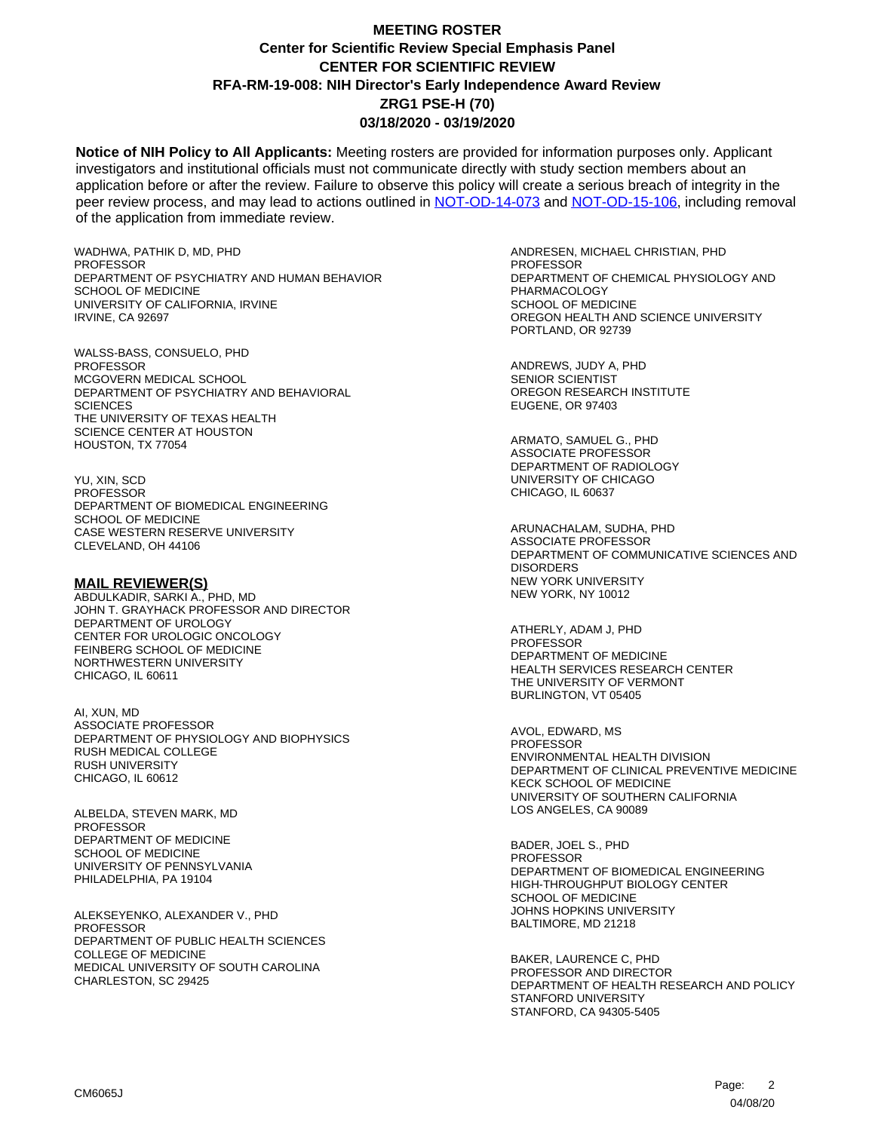**Notice of NIH Policy to All Applicants:** Meeting rosters are provided for information purposes only. Applicant investigators and institutional officials must not communicate directly with study section members about an application before or after the review. Failure to observe this policy will create a serious breach of integrity in the peer review process, and may lead to actions outlined in [NOT-OD-14-073](https://grants.nih.gov/grants/guide/notice-files/NOT-OD-14-073.html) and [NOT-OD-15-106,](https://grants.nih.gov/grants/guide/notice-files/NOT-OD-15-106.html) including removal of the application from immediate review.

WADHWA, PATHIK D, MD, PHD PROFESSOR DEPARTMENT OF PSYCHIATRY AND HUMAN BEHAVIOR SCHOOL OF MEDICINE UNIVERSITY OF CALIFORNIA, IRVINE IRVINE, CA 92697

WALSS-BASS, CONSUELO, PHD **PROFESSOR** MCGOVERN MEDICAL SCHOOL DEPARTMENT OF PSYCHIATRY AND BEHAVIORAL **SCIENCES** THE UNIVERSITY OF TEXAS HEALTH SCIENCE CENTER AT HOUSTON HOUSTON, TX 77054

YU, XIN, SCD PROFESSOR DEPARTMENT OF BIOMEDICAL ENGINEERING SCHOOL OF MEDICINE CASE WESTERN RESERVE UNIVERSITY CLEVELAND, OH 44106

#### **MAIL REVIEWER(S)**

ABDULKADIR, SARKI A., PHD, MD JOHN T. GRAYHACK PROFESSOR AND DIRECTOR DEPARTMENT OF UROLOGY CENTER FOR UROLOGIC ONCOLOGY FEINBERG SCHOOL OF MEDICINE NORTHWESTERN UNIVERSITY CHICAGO, IL 60611

AI, XUN, MD ASSOCIATE PROFESSOR DEPARTMENT OF PHYSIOLOGY AND BIOPHYSICS RUSH MEDICAL COLLEGE RUSH UNIVERSITY CHICAGO, IL 60612

ALBELDA, STEVEN MARK, MD PROFESSOR DEPARTMENT OF MEDICINE SCHOOL OF MEDICINE UNIVERSITY OF PENNSYLVANIA PHILADELPHIA, PA 19104

ALEKSEYENKO, ALEXANDER V., PHD PROFESSOR DEPARTMENT OF PUBLIC HEALTH SCIENCES COLLEGE OF MEDICINE MEDICAL UNIVERSITY OF SOUTH CAROLINA CHARLESTON, SC 29425

ANDRESEN, MICHAEL CHRISTIAN, PHD PROFESSOR DEPARTMENT OF CHEMICAL PHYSIOLOGY AND PHARMACOLOGY SCHOOL OF MEDICINE OREGON HEALTH AND SCIENCE UNIVERSITY PORTLAND, OR 92739

ANDREWS, JUDY A, PHD SENIOR SCIENTIST OREGON RESEARCH INSTITUTE EUGENE, OR 97403

ARMATO, SAMUEL G., PHD ASSOCIATE PROFESSOR DEPARTMENT OF RADIOLOGY UNIVERSITY OF CHICAGO CHICAGO, IL 60637

ARUNACHALAM, SUDHA, PHD ASSOCIATE PROFESSOR DEPARTMENT OF COMMUNICATIVE SCIENCES AND **DISORDERS** NEW YORK UNIVERSITY NEW YORK, NY 10012

ATHERLY, ADAM J, PHD PROFESSOR DEPARTMENT OF MEDICINE HEALTH SERVICES RESEARCH CENTER THE UNIVERSITY OF VERMONT BURLINGTON, VT 05405

AVOL, EDWARD, MS **PROFESSOR** ENVIRONMENTAL HEALTH DIVISION DEPARTMENT OF CLINICAL PREVENTIVE MEDICINE KECK SCHOOL OF MEDICINE UNIVERSITY OF SOUTHERN CALIFORNIA LOS ANGELES, CA 90089

BADER, JOEL S., PHD PROFESSOR DEPARTMENT OF BIOMEDICAL ENGINEERING HIGH-THROUGHPUT BIOLOGY CENTER SCHOOL OF MEDICINE JOHNS HOPKINS UNIVERSITY BALTIMORE, MD 21218

BAKER, LAURENCE C, PHD PROFESSOR AND DIRECTOR DEPARTMENT OF HEALTH RESEARCH AND POLICY STANFORD UNIVERSITY STANFORD, CA 94305-5405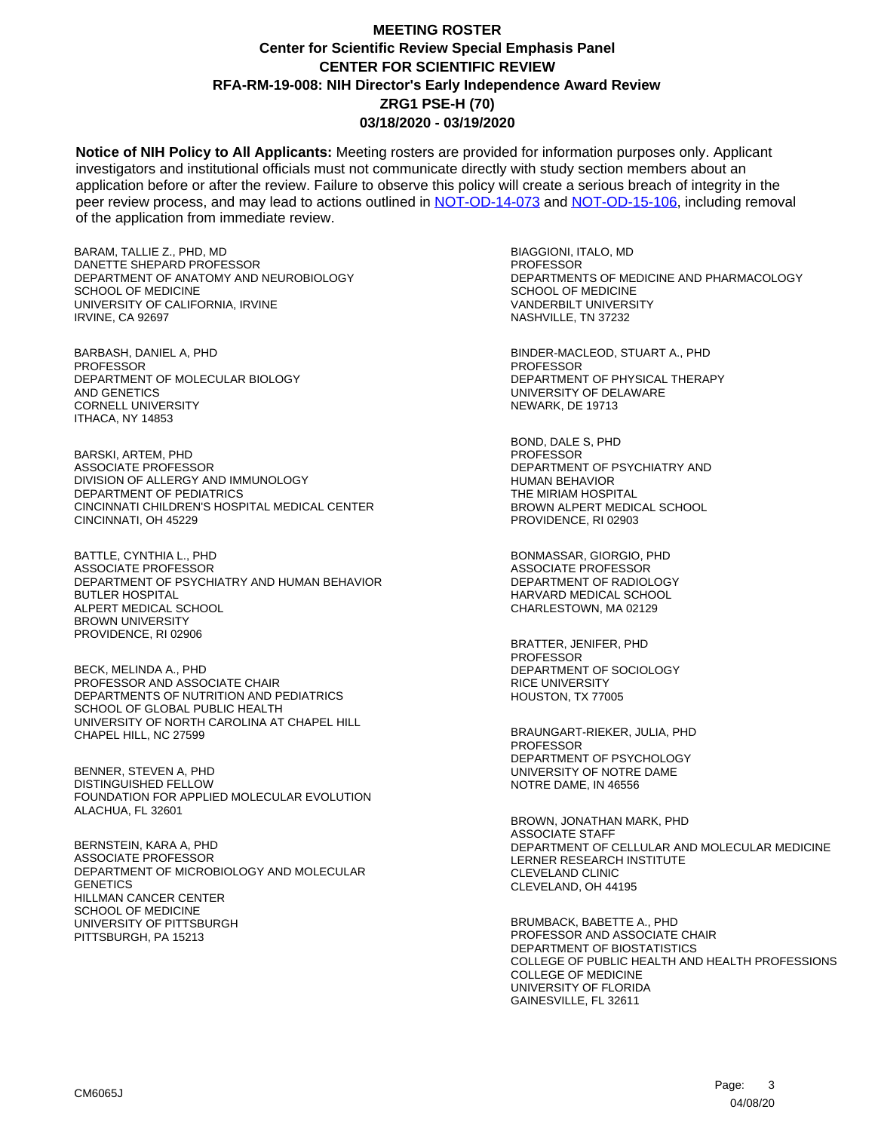**Notice of NIH Policy to All Applicants:** Meeting rosters are provided for information purposes only. Applicant investigators and institutional officials must not communicate directly with study section members about an application before or after the review. Failure to observe this policy will create a serious breach of integrity in the peer review process, and may lead to actions outlined in [NOT-OD-14-073](https://grants.nih.gov/grants/guide/notice-files/NOT-OD-14-073.html) and [NOT-OD-15-106,](https://grants.nih.gov/grants/guide/notice-files/NOT-OD-15-106.html) including removal of the application from immediate review.

BARAM, TALLIE Z., PHD, MD DANETTE SHEPARD PROFESSOR DEPARTMENT OF ANATOMY AND NEUROBIOLOGY SCHOOL OF MEDICINE UNIVERSITY OF CALIFORNIA, IRVINE IRVINE, CA 92697

BARBASH, DANIEL A, PHD **PROFESSOR** DEPARTMENT OF MOLECULAR BIOLOGY AND GENETICS CORNELL UNIVERSITY ITHACA, NY 14853

BARSKI, ARTEM, PHD ASSOCIATE PROFESSOR DIVISION OF ALLERGY AND IMMUNOLOGY DEPARTMENT OF PEDIATRICS CINCINNATI CHILDREN'S HOSPITAL MEDICAL CENTER CINCINNATI, OH 45229

BATTLE, CYNTHIA L., PHD ASSOCIATE PROFESSOR DEPARTMENT OF PSYCHIATRY AND HUMAN BEHAVIOR BUTLER HOSPITAL ALPERT MEDICAL SCHOOL BROWN UNIVERSITY PROVIDENCE, RI 02906

BECK, MELINDA A., PHD PROFESSOR AND ASSOCIATE CHAIR DEPARTMENTS OF NUTRITION AND PEDIATRICS SCHOOL OF GLOBAL PUBLIC HEALTH UNIVERSITY OF NORTH CAROLINA AT CHAPEL HILL CHAPEL HILL, NC 27599

BENNER, STEVEN A, PHD DISTINGUISHED FELLOW FOUNDATION FOR APPLIED MOLECULAR EVOLUTION ALACHUA, FL 32601

BERNSTEIN, KARA A, PHD ASSOCIATE PROFESSOR DEPARTMENT OF MICROBIOLOGY AND MOLECULAR **GENETICS** HILLMAN CANCER CENTER SCHOOL OF MEDICINE UNIVERSITY OF PITTSBURGH PITTSBURGH, PA 15213

BIAGGIONI, ITALO, MD PROFESSOR DEPARTMENTS OF MEDICINE AND PHARMACOLOGY SCHOOL OF MEDICINE VANDERBILT UNIVERSITY NASHVILLE, TN 37232

BINDER-MACLEOD, STUART A., PHD **PROFESSOR** DEPARTMENT OF PHYSICAL THERAPY UNIVERSITY OF DELAWARE NEWARK, DE 19713

BOND, DALE S, PHD **PROFESSOR** DEPARTMENT OF PSYCHIATRY AND HUMAN BEHAVIOR THE MIRIAM HOSPITAL BROWN ALPERT MEDICAL SCHOOL PROVIDENCE, RI 02903

BONMASSAR, GIORGIO, PHD ASSOCIATE PROFESSOR DEPARTMENT OF RADIOLOGY HARVARD MEDICAL SCHOOL CHARLESTOWN, MA 02129

BRATTER, JENIFER, PHD PROFESSOR DEPARTMENT OF SOCIOLOGY RICE UNIVERSITY HOUSTON, TX 77005

BRAUNGART-RIEKER, JULIA, PHD **PROFESSOR** DEPARTMENT OF PSYCHOLOGY UNIVERSITY OF NOTRE DAME NOTRE DAME, IN 46556

BROWN, JONATHAN MARK, PHD ASSOCIATE STAFF DEPARTMENT OF CELLULAR AND MOLECULAR MEDICINE LERNER RESEARCH INSTITUTE CLEVELAND CLINIC CLEVELAND, OH 44195

BRUMBACK, BABETTE A., PHD PROFESSOR AND ASSOCIATE CHAIR DEPARTMENT OF BIOSTATISTICS COLLEGE OF PUBLIC HEALTH AND HEALTH PROFESSIONS COLLEGE OF MEDICINE UNIVERSITY OF FLORIDA GAINESVILLE, FL 32611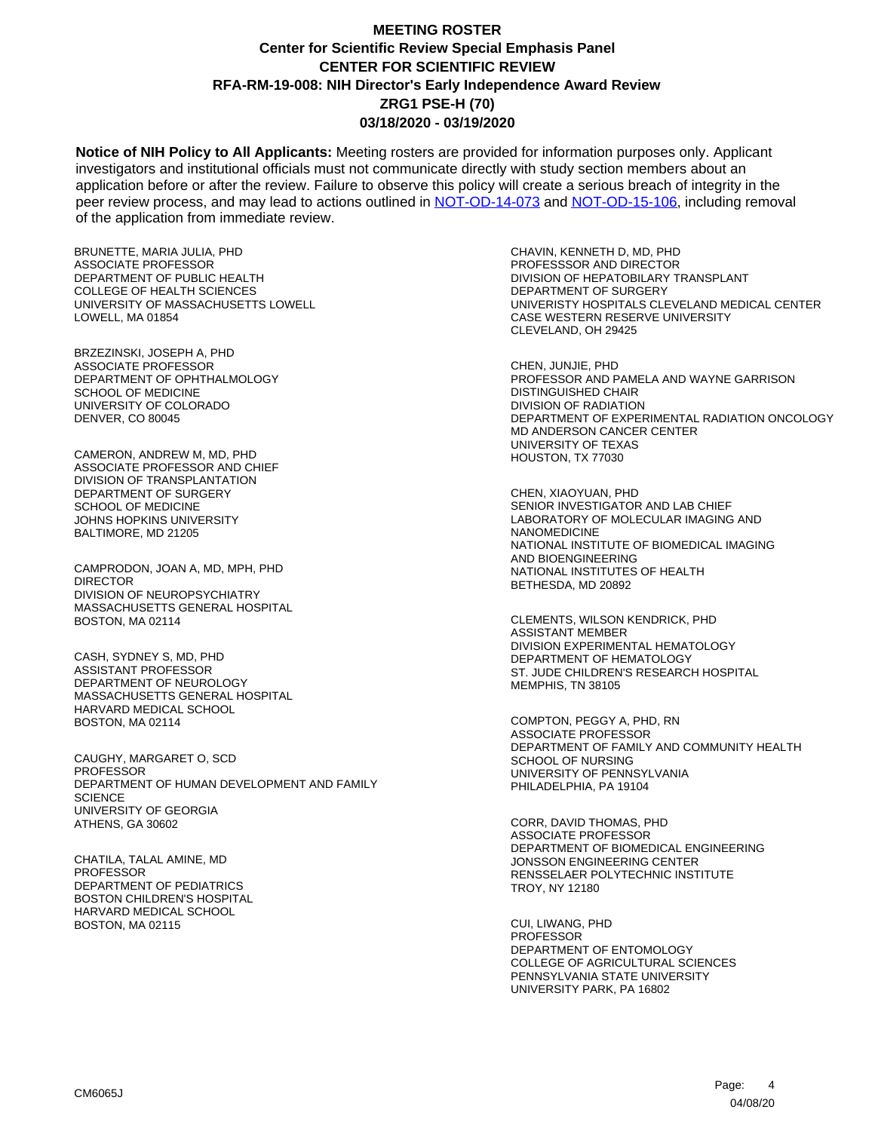**Notice of NIH Policy to All Applicants:** Meeting rosters are provided for information purposes only. Applicant investigators and institutional officials must not communicate directly with study section members about an application before or after the review. Failure to observe this policy will create a serious breach of integrity in the peer review process, and may lead to actions outlined in [NOT-OD-14-073](https://grants.nih.gov/grants/guide/notice-files/NOT-OD-14-073.html) and [NOT-OD-15-106,](https://grants.nih.gov/grants/guide/notice-files/NOT-OD-15-106.html) including removal of the application from immediate review.

BRUNETTE, MARIA JULIA, PHD ASSOCIATE PROFESSOR DEPARTMENT OF PUBLIC HEALTH COLLEGE OF HEALTH SCIENCES UNIVERSITY OF MASSACHUSETTS LOWELL LOWELL, MA 01854

BRZEZINSKI, JOSEPH A, PHD ASSOCIATE PROFESSOR DEPARTMENT OF OPHTHALMOLOGY SCHOOL OF MEDICINE UNIVERSITY OF COLORADO DENVER, CO 80045

CAMERON, ANDREW M, MD, PHD ASSOCIATE PROFESSOR AND CHIEF DIVISION OF TRANSPLANTATION DEPARTMENT OF SURGERY SCHOOL OF MEDICINE JOHNS HOPKINS UNIVERSITY BALTIMORE, MD 21205

CAMPRODON, JOAN A, MD, MPH, PHD DIRECTOR DIVISION OF NEUROPSYCHIATRY MASSACHUSETTS GENERAL HOSPITAL BOSTON, MA 02114

CASH, SYDNEY S, MD, PHD ASSISTANT PROFESSOR DEPARTMENT OF NEUROLOGY MASSACHUSETTS GENERAL HOSPITAL HARVARD MEDICAL SCHOOL BOSTON, MA 02114

CAUGHY, MARGARET O, SCD PROFESSOR DEPARTMENT OF HUMAN DEVELOPMENT AND FAMILY **SCIENCE** UNIVERSITY OF GEORGIA ATHENS, GA 30602

CHATILA, TALAL AMINE, MD PROFESSOR DEPARTMENT OF PEDIATRICS BOSTON CHILDREN'S HOSPITAL HARVARD MEDICAL SCHOOL BOSTON, MA 02115

CHAVIN, KENNETH D, MD, PHD PROFESSSOR AND DIRECTOR DIVISION OF HEPATOBILARY TRANSPLANT DEPARTMENT OF SURGERY UNIVERISTY HOSPITALS CLEVELAND MEDICAL CENTER CASE WESTERN RESERVE UNIVERSITY CLEVELAND, OH 29425

CHEN, JUNJIE, PHD PROFESSOR AND PAMELA AND WAYNE GARRISON DISTINGUISHED CHAIR DIVISION OF RADIATION DEPARTMENT OF EXPERIMENTAL RADIATION ONCOLOGY MD ANDERSON CANCER CENTER UNIVERSITY OF TEXAS HOUSTON, TX 77030

CHEN, XIAOYUAN, PHD SENIOR INVESTIGATOR AND LAB CHIEF LABORATORY OF MOLECULAR IMAGING AND NANOMEDICINE NATIONAL INSTITUTE OF BIOMEDICAL IMAGING AND BIOENGINEERING NATIONAL INSTITUTES OF HEALTH BETHESDA, MD 20892

CLEMENTS, WILSON KENDRICK, PHD ASSISTANT MEMBER DIVISION EXPERIMENTAL HEMATOLOGY DEPARTMENT OF HEMATOLOGY ST. JUDE CHILDREN'S RESEARCH HOSPITAL MEMPHIS, TN 38105

COMPTON, PEGGY A, PHD, RN ASSOCIATE PROFESSOR DEPARTMENT OF FAMILY AND COMMUNITY HEALTH SCHOOL OF NURSING UNIVERSITY OF PENNSYLVANIA PHILADELPHIA, PA 19104

CORR, DAVID THOMAS, PHD ASSOCIATE PROFESSOR DEPARTMENT OF BIOMEDICAL ENGINEERING JONSSON ENGINEERING CENTER RENSSELAER POLYTECHNIC INSTITUTE TROY, NY 12180

CUI, LIWANG, PHD **PROFESSOR** DEPARTMENT OF ENTOMOLOGY COLLEGE OF AGRICULTURAL SCIENCES PENNSYLVANIA STATE UNIVERSITY UNIVERSITY PARK, PA 16802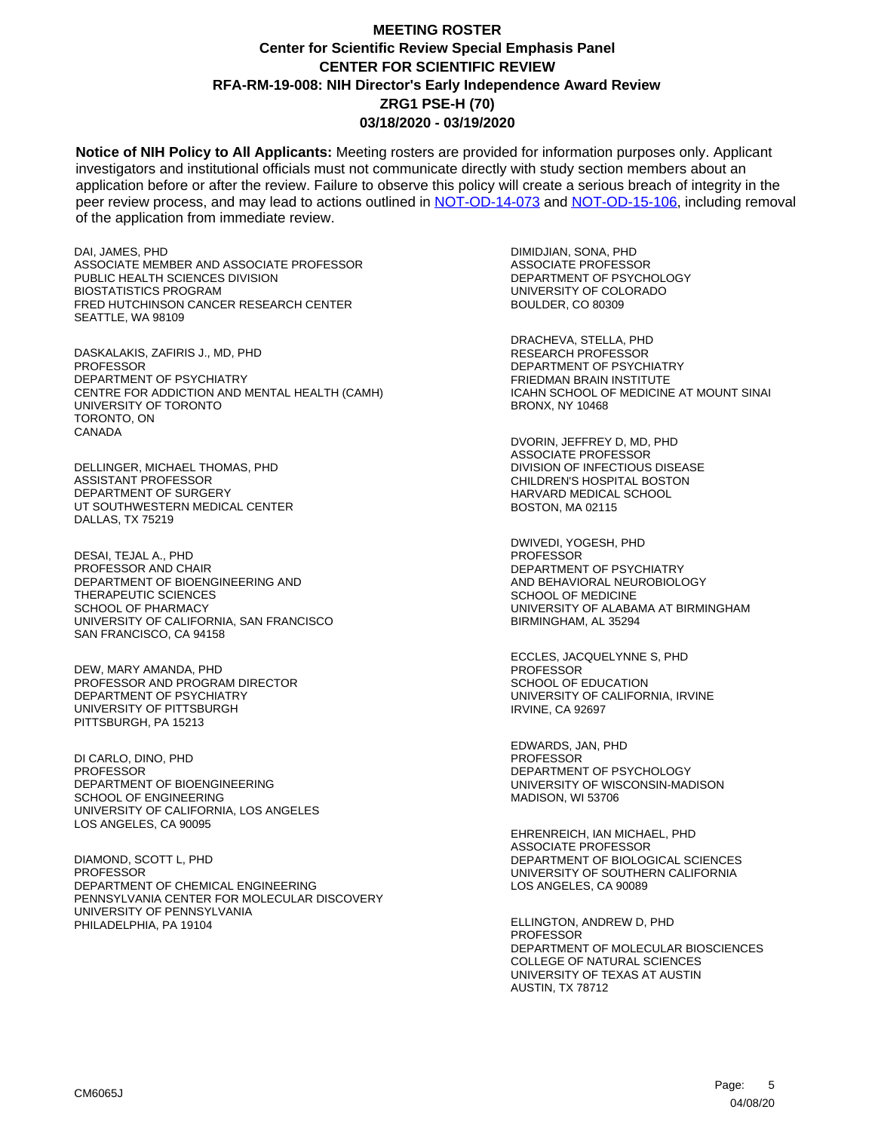**Notice of NIH Policy to All Applicants:** Meeting rosters are provided for information purposes only. Applicant investigators and institutional officials must not communicate directly with study section members about an application before or after the review. Failure to observe this policy will create a serious breach of integrity in the peer review process, and may lead to actions outlined in [NOT-OD-14-073](https://grants.nih.gov/grants/guide/notice-files/NOT-OD-14-073.html) and [NOT-OD-15-106,](https://grants.nih.gov/grants/guide/notice-files/NOT-OD-15-106.html) including removal of the application from immediate review.

DAI, JAMES, PHD ASSOCIATE MEMBER AND ASSOCIATE PROFESSOR PUBLIC HEALTH SCIENCES DIVISION BIOSTATISTICS PROGRAM FRED HUTCHINSON CANCER RESEARCH CENTER SEATTLE, WA 98109

DASKALAKIS, ZAFIRIS J., MD, PHD PROFESSOR DEPARTMENT OF PSYCHIATRY CENTRE FOR ADDICTION AND MENTAL HEALTH (CAMH) UNIVERSITY OF TORONTO TORONTO, ON CANADA

DELLINGER, MICHAEL THOMAS, PHD ASSISTANT PROFESSOR DEPARTMENT OF SURGERY UT SOUTHWESTERN MEDICAL CENTER DALLAS, TX 75219

DESAI, TEJAL A., PHD PROFESSOR AND CHAIR DEPARTMENT OF BIOENGINEERING AND THERAPEUTIC SCIENCES SCHOOL OF PHARMACY UNIVERSITY OF CALIFORNIA, SAN FRANCISCO SAN FRANCISCO, CA 94158

DEW, MARY AMANDA, PHD PROFESSOR AND PROGRAM DIRECTOR DEPARTMENT OF PSYCHIATRY UNIVERSITY OF PITTSBURGH PITTSBURGH, PA 15213

DI CARLO, DINO, PHD PROFESSOR DEPARTMENT OF BIOENGINEERING SCHOOL OF ENGINEERING UNIVERSITY OF CALIFORNIA, LOS ANGELES LOS ANGELES, CA 90095

DIAMOND, SCOTT L, PHD **PROFESSOR** DEPARTMENT OF CHEMICAL ENGINEERING PENNSYLVANIA CENTER FOR MOLECULAR DISCOVERY UNIVERSITY OF PENNSYLVANIA PHILADELPHIA, PA 19104

DIMIDJIAN, SONA, PHD ASSOCIATE PROFESSOR DEPARTMENT OF PSYCHOLOGY UNIVERSITY OF COLORADO BOULDER, CO 80309

DRACHEVA, STELLA, PHD RESEARCH PROFESSOR DEPARTMENT OF PSYCHIATRY FRIEDMAN BRAIN INSTITUTE ICAHN SCHOOL OF MEDICINE AT MOUNT SINAI BRONX, NY 10468

DVORIN, JEFFREY D, MD, PHD ASSOCIATE PROFESSOR DIVISION OF INFECTIOUS DISEASE CHILDREN'S HOSPITAL BOSTON HARVARD MEDICAL SCHOOL BOSTON, MA 02115

DWIVEDI, YOGESH, PHD **PROFESSOR** DEPARTMENT OF PSYCHIATRY AND BEHAVIORAL NEUROBIOLOGY SCHOOL OF MEDICINE UNIVERSITY OF ALABAMA AT BIRMINGHAM BIRMINGHAM, AL 35294

ECCLES, JACQUELYNNE S, PHD PROFESSOR SCHOOL OF EDUCATION UNIVERSITY OF CALIFORNIA, IRVINE IRVINE, CA 92697

EDWARDS, JAN, PHD PROFESSOR DEPARTMENT OF PSYCHOLOGY UNIVERSITY OF WISCONSIN-MADISON MADISON, WI 53706

EHRENREICH, IAN MICHAEL, PHD ASSOCIATE PROFESSOR DEPARTMENT OF BIOLOGICAL SCIENCES UNIVERSITY OF SOUTHERN CALIFORNIA LOS ANGELES, CA 90089

ELLINGTON, ANDREW D, PHD PROFESSOR DEPARTMENT OF MOLECULAR BIOSCIENCES COLLEGE OF NATURAL SCIENCES UNIVERSITY OF TEXAS AT AUSTIN AUSTIN, TX 78712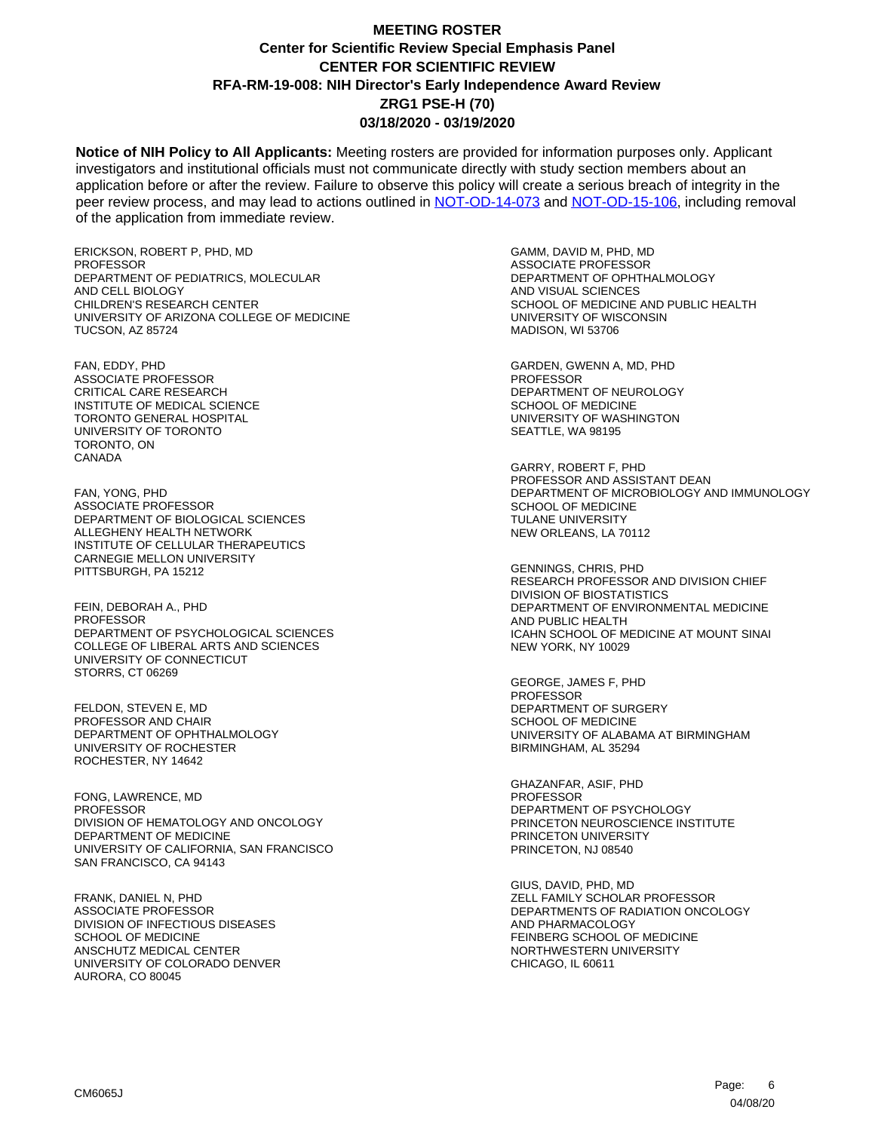**Notice of NIH Policy to All Applicants:** Meeting rosters are provided for information purposes only. Applicant investigators and institutional officials must not communicate directly with study section members about an application before or after the review. Failure to observe this policy will create a serious breach of integrity in the peer review process, and may lead to actions outlined in [NOT-OD-14-073](https://grants.nih.gov/grants/guide/notice-files/NOT-OD-14-073.html) and [NOT-OD-15-106,](https://grants.nih.gov/grants/guide/notice-files/NOT-OD-15-106.html) including removal of the application from immediate review.

ERICKSON, ROBERT P, PHD, MD PROFESSOR DEPARTMENT OF PEDIATRICS, MOLECULAR AND CELL BIOLOGY CHILDREN'S RESEARCH CENTER UNIVERSITY OF ARIZONA COLLEGE OF MEDICINE TUCSON, AZ 85724

FAN, EDDY, PHD ASSOCIATE PROFESSOR CRITICAL CARE RESEARCH INSTITUTE OF MEDICAL SCIENCE TORONTO GENERAL HOSPITAL UNIVERSITY OF TORONTO TORONTO, ON CANADA

FAN, YONG, PHD ASSOCIATE PROFESSOR DEPARTMENT OF BIOLOGICAL SCIENCES ALLEGHENY HEALTH NETWORK INSTITUTE OF CELLULAR THERAPEUTICS CARNEGIE MELLON UNIVERSITY PITTSBURGH, PA 15212

FEIN, DEBORAH A., PHD **PROFESSOR** DEPARTMENT OF PSYCHOLOGICAL SCIENCES COLLEGE OF LIBERAL ARTS AND SCIENCES UNIVERSITY OF CONNECTICUT STORRS, CT 06269

FELDON, STEVEN E, MD PROFESSOR AND CHAIR DEPARTMENT OF OPHTHALMOLOGY UNIVERSITY OF ROCHESTER ROCHESTER, NY 14642

FONG, LAWRENCE, MD **PROFESSOR** DIVISION OF HEMATOLOGY AND ONCOLOGY DEPARTMENT OF MEDICINE UNIVERSITY OF CALIFORNIA, SAN FRANCISCO SAN FRANCISCO, CA 94143

FRANK, DANIEL N, PHD ASSOCIATE PROFESSOR DIVISION OF INFECTIOUS DISEASES SCHOOL OF MEDICINE ANSCHUTZ MEDICAL CENTER UNIVERSITY OF COLORADO DENVER AURORA, CO 80045

GAMM, DAVID M, PHD, MD ASSOCIATE PROFESSOR DEPARTMENT OF OPHTHALMOLOGY AND VISUAL SCIENCES SCHOOL OF MEDICINE AND PUBLIC HEALTH UNIVERSITY OF WISCONSIN MADISON, WI 53706

GARDEN, GWENN A, MD, PHD **PROFESSOR** DEPARTMENT OF NEUROLOGY SCHOOL OF MEDICINE UNIVERSITY OF WASHINGTON SEATTLE, WA 98195

GARRY, ROBERT F, PHD PROFESSOR AND ASSISTANT DEAN DEPARTMENT OF MICROBIOLOGY AND IMMUNOLOGY SCHOOL OF MEDICINE TULANE UNIVERSITY NEW ORLEANS, LA 70112

GENNINGS, CHRIS, PHD RESEARCH PROFESSOR AND DIVISION CHIEF DIVISION OF BIOSTATISTICS DEPARTMENT OF ENVIRONMENTAL MEDICINE AND PUBLIC HEALTH ICAHN SCHOOL OF MEDICINE AT MOUNT SINAI NEW YORK, NY 10029

GEORGE, JAMES F, PHD PROFESSOR DEPARTMENT OF SURGERY SCHOOL OF MEDICINE UNIVERSITY OF ALABAMA AT BIRMINGHAM BIRMINGHAM, AL 35294

GHAZANFAR, ASIF, PHD PROFESSOR DEPARTMENT OF PSYCHOLOGY PRINCETON NEUROSCIENCE INSTITUTE PRINCETON UNIVERSITY PRINCETON, NJ 08540

GIUS, DAVID, PHD, MD ZELL FAMILY SCHOLAR PROFESSOR DEPARTMENTS OF RADIATION ONCOLOGY AND PHARMACOLOGY FEINBERG SCHOOL OF MEDICINE NORTHWESTERN UNIVERSITY CHICAGO, IL 60611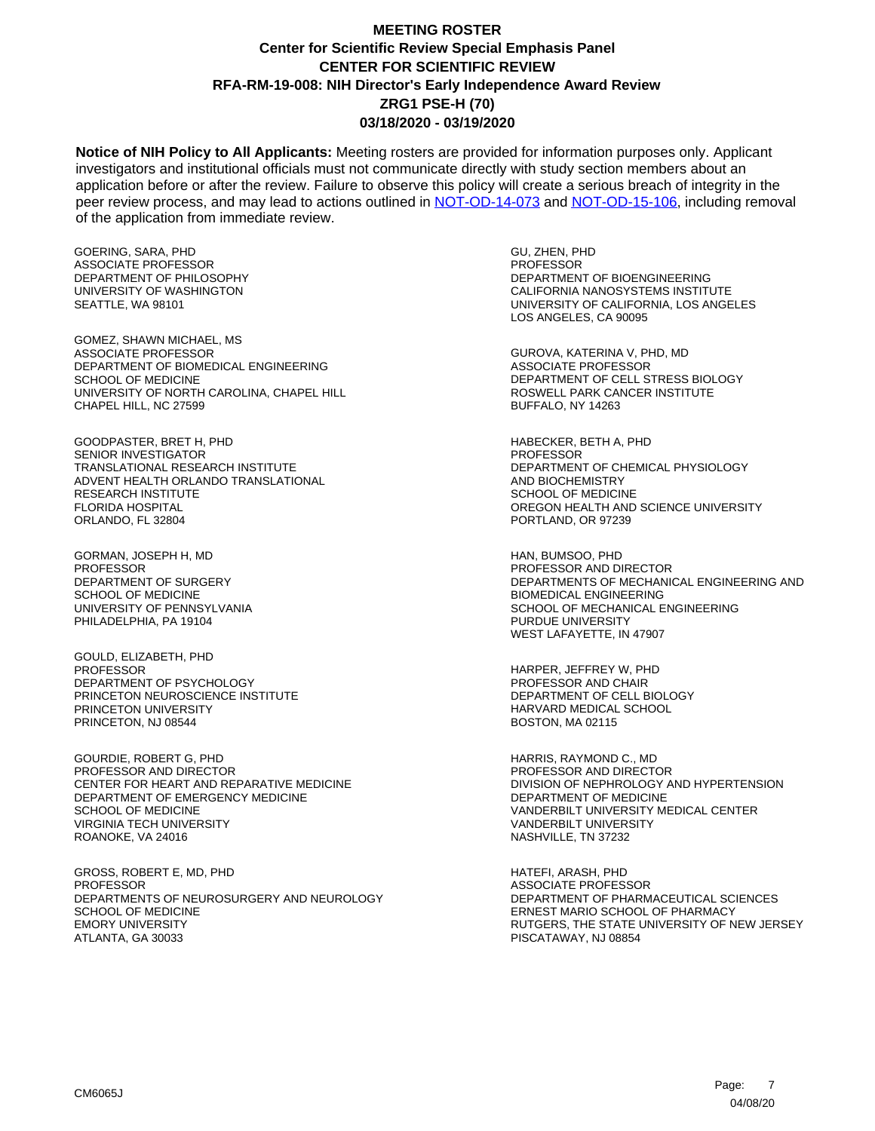**Notice of NIH Policy to All Applicants:** Meeting rosters are provided for information purposes only. Applicant investigators and institutional officials must not communicate directly with study section members about an application before or after the review. Failure to observe this policy will create a serious breach of integrity in the peer review process, and may lead to actions outlined in [NOT-OD-14-073](https://grants.nih.gov/grants/guide/notice-files/NOT-OD-14-073.html) and [NOT-OD-15-106,](https://grants.nih.gov/grants/guide/notice-files/NOT-OD-15-106.html) including removal of the application from immediate review.

GOERING, SARA, PHD ASSOCIATE PROFESSOR DEPARTMENT OF PHILOSOPHY UNIVERSITY OF WASHINGTON SEATTLE, WA 98101

GOMEZ, SHAWN MICHAEL, MS ASSOCIATE PROFESSOR DEPARTMENT OF BIOMEDICAL ENGINEERING SCHOOL OF MEDICINE UNIVERSITY OF NORTH CAROLINA, CHAPEL HILL CHAPEL HILL, NC 27599

GOODPASTER, BRET H, PHD SENIOR INVESTIGATOR TRANSLATIONAL RESEARCH INSTITUTE ADVENT HEALTH ORLANDO TRANSLATIONAL RESEARCH INSTITUTE FLORIDA HOSPITAL ORLANDO, FL 32804

GORMAN, JOSEPH H, MD PROFESSOR DEPARTMENT OF SURGERY SCHOOL OF MEDICINE UNIVERSITY OF PENNSYLVANIA PHILADELPHIA, PA 19104

GOULD, ELIZABETH, PHD PROFESSOR DEPARTMENT OF PSYCHOLOGY PRINCETON NEUROSCIENCE INSTITUTE PRINCETON UNIVERSITY PRINCETON, NJ 08544

GOURDIE, ROBERT G, PHD PROFESSOR AND DIRECTOR CENTER FOR HEART AND REPARATIVE MEDICINE DEPARTMENT OF EMERGENCY MEDICINE SCHOOL OF MEDICINE VIRGINIA TECH UNIVERSITY ROANOKE, VA 24016

GROSS, ROBERT E, MD, PHD PROFESSOR DEPARTMENTS OF NEUROSURGERY AND NEUROLOGY SCHOOL OF MEDICINE EMORY UNIVERSITY ATLANTA, GA 30033

GU, ZHEN, PHD PROFESSOR DEPARTMENT OF BIOENGINEERING CALIFORNIA NANOSYSTEMS INSTITUTE UNIVERSITY OF CALIFORNIA, LOS ANGELES LOS ANGELES, CA 90095

GUROVA, KATERINA V, PHD, MD ASSOCIATE PROFESSOR DEPARTMENT OF CELL STRESS BIOLOGY ROSWELL PARK CANCER INSTITUTE BUFFALO, NY 14263

HABECKER, BETH A, PHD **PROFESSOR** DEPARTMENT OF CHEMICAL PHYSIOLOGY AND BIOCHEMISTRY SCHOOL OF MEDICINE OREGON HEALTH AND SCIENCE UNIVERSITY PORTLAND, OR 97239

HAN, BUMSOO, PHD PROFESSOR AND DIRECTOR DEPARTMENTS OF MECHANICAL ENGINEERING AND BIOMEDICAL ENGINEERING SCHOOL OF MECHANICAL ENGINEERING PURDUE UNIVERSITY WEST LAFAYETTE, IN 47907

HARPER, JEFFREY W, PHD PROFESSOR AND CHAIR DEPARTMENT OF CELL BIOLOGY HARVARD MEDICAL SCHOOL BOSTON, MA 02115

HARRIS, RAYMOND C., MD PROFESSOR AND DIRECTOR DIVISION OF NEPHROLOGY AND HYPERTENSION DEPARTMENT OF MEDICINE VANDERBILT UNIVERSITY MEDICAL CENTER VANDERBILT UNIVERSITY NASHVILLE, TN 37232

HATEFI, ARASH, PHD ASSOCIATE PROFESSOR DEPARTMENT OF PHARMACEUTICAL SCIENCES ERNEST MARIO SCHOOL OF PHARMACY RUTGERS, THE STATE UNIVERSITY OF NEW JERSEY PISCATAWAY, NJ 08854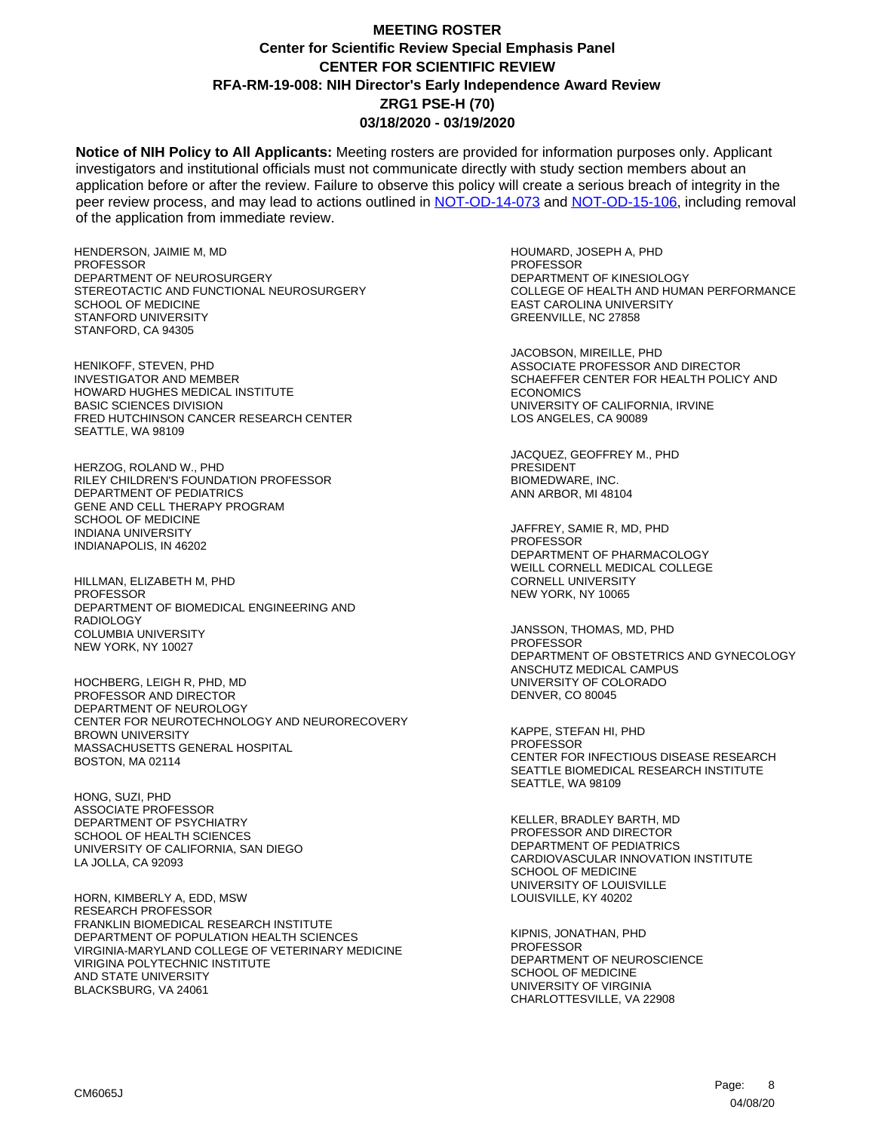**Notice of NIH Policy to All Applicants:** Meeting rosters are provided for information purposes only. Applicant investigators and institutional officials must not communicate directly with study section members about an application before or after the review. Failure to observe this policy will create a serious breach of integrity in the peer review process, and may lead to actions outlined in [NOT-OD-14-073](https://grants.nih.gov/grants/guide/notice-files/NOT-OD-14-073.html) and [NOT-OD-15-106,](https://grants.nih.gov/grants/guide/notice-files/NOT-OD-15-106.html) including removal of the application from immediate review.

HENDERSON, JAIMIE M, MD PROFESSOR DEPARTMENT OF NEUROSURGERY STEREOTACTIC AND FUNCTIONAL NEUROSURGERY SCHOOL OF MEDICINE STANFORD UNIVERSITY STANFORD, CA 94305

HENIKOFF, STEVEN, PHD INVESTIGATOR AND MEMBER HOWARD HUGHES MEDICAL INSTITUTE BASIC SCIENCES DIVISION FRED HUTCHINSON CANCER RESEARCH CENTER SEATTLE, WA 98109

HERZOG, ROLAND W., PHD RILEY CHILDREN'S FOUNDATION PROFESSOR DEPARTMENT OF PEDIATRICS GENE AND CELL THERAPY PROGRAM SCHOOL OF MEDICINE INDIANA UNIVERSITY INDIANAPOLIS, IN 46202

HILLMAN, ELIZABETH M, PHD **PROFESSOR** DEPARTMENT OF BIOMEDICAL ENGINEERING AND RADIOLOGY COLUMBIA UNIVERSITY NEW YORK, NY 10027

HOCHBERG, LEIGH R, PHD, MD PROFESSOR AND DIRECTOR DEPARTMENT OF NEUROLOGY CENTER FOR NEUROTECHNOLOGY AND NEURORECOVERY BROWN UNIVERSITY MASSACHUSETTS GENERAL HOSPITAL BOSTON, MA 02114

HONG, SUZI, PHD ASSOCIATE PROFESSOR DEPARTMENT OF PSYCHIATRY SCHOOL OF HEALTH SCIENCES UNIVERSITY OF CALIFORNIA, SAN DIEGO LA JOLLA, CA 92093

HORN, KIMBERLY A, EDD, MSW RESEARCH PROFESSOR FRANKLIN BIOMEDICAL RESEARCH INSTITUTE DEPARTMENT OF POPULATION HEALTH SCIENCES VIRGINIA-MARYLAND COLLEGE OF VETERINARY MEDICINE VIRIGINA POLYTECHNIC INSTITUTE AND STATE UNIVERSITY BLACKSBURG, VA 24061

HOUMARD, JOSEPH A, PHD PROFESSOR DEPARTMENT OF KINESIOLOGY COLLEGE OF HEALTH AND HUMAN PERFORMANCE EAST CAROLINA UNIVERSITY GREENVILLE, NC 27858

JACOBSON, MIREILLE, PHD ASSOCIATE PROFESSOR AND DIRECTOR SCHAEFFER CENTER FOR HEALTH POLICY AND **ECONOMICS** UNIVERSITY OF CALIFORNIA, IRVINE LOS ANGELES, CA 90089

JACQUEZ, GEOFFREY M., PHD PRESIDENT BIOMEDWARE, INC. ANN ARBOR, MI 48104

JAFFREY, SAMIE R, MD, PHD PROFESSOR DEPARTMENT OF PHARMACOLOGY WEILL CORNELL MEDICAL COLLEGE CORNELL UNIVERSITY NEW YORK, NY 10065

JANSSON, THOMAS, MD, PHD PROFESSOR DEPARTMENT OF OBSTETRICS AND GYNECOLOGY ANSCHUTZ MEDICAL CAMPUS UNIVERSITY OF COLORADO DENVER, CO 80045

KAPPE, STEFAN HI, PHD **PROFESSOR** CENTER FOR INFECTIOUS DISEASE RESEARCH SEATTLE BIOMEDICAL RESEARCH INSTITUTE SEATTLE, WA 98109

KELLER, BRADLEY BARTH, MD PROFESSOR AND DIRECTOR DEPARTMENT OF PEDIATRICS CARDIOVASCULAR INNOVATION INSTITUTE SCHOOL OF MEDICINE UNIVERSITY OF LOUISVILLE LOUISVILLE, KY 40202

KIPNIS, JONATHAN, PHD PROFESSOR DEPARTMENT OF NEUROSCIENCE SCHOOL OF MEDICINE UNIVERSITY OF VIRGINIA CHARLOTTESVILLE, VA 22908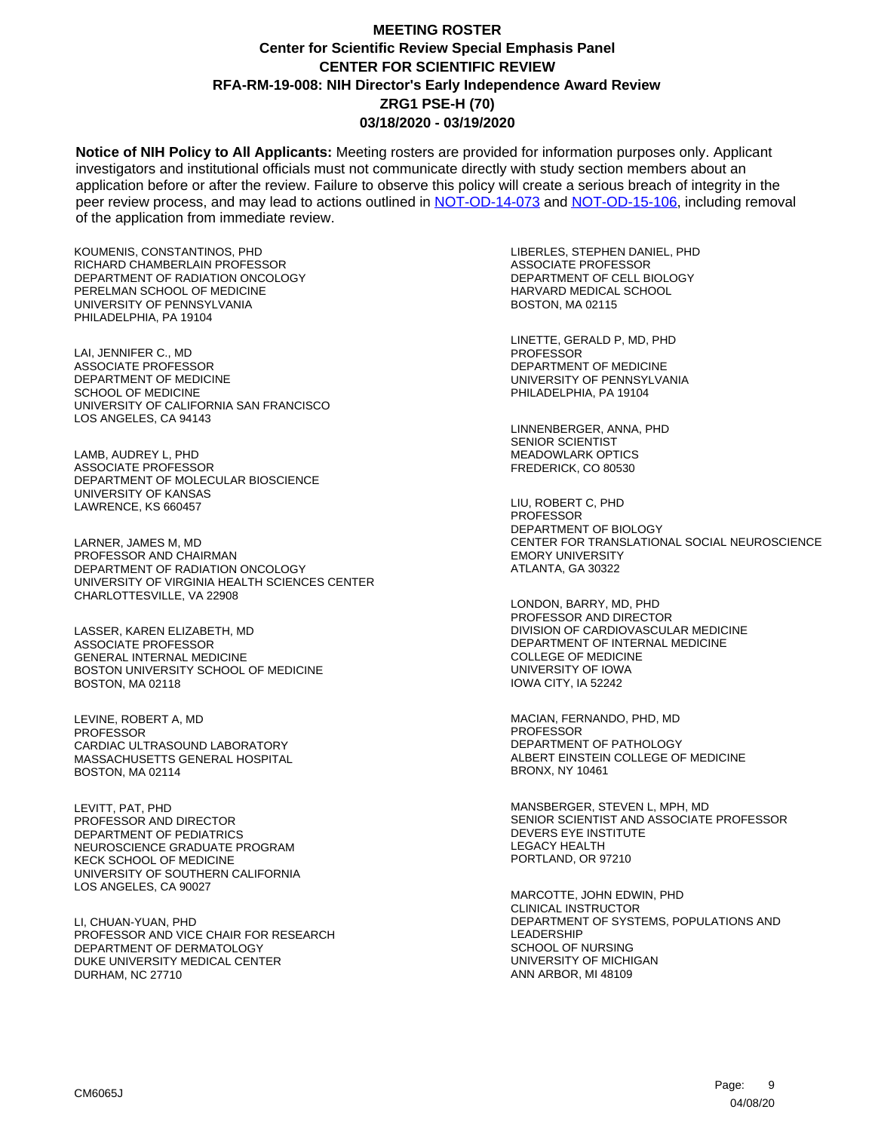**Notice of NIH Policy to All Applicants:** Meeting rosters are provided for information purposes only. Applicant investigators and institutional officials must not communicate directly with study section members about an application before or after the review. Failure to observe this policy will create a serious breach of integrity in the peer review process, and may lead to actions outlined in [NOT-OD-14-073](https://grants.nih.gov/grants/guide/notice-files/NOT-OD-14-073.html) and [NOT-OD-15-106,](https://grants.nih.gov/grants/guide/notice-files/NOT-OD-15-106.html) including removal of the application from immediate review.

KOUMENIS, CONSTANTINOS, PHD RICHARD CHAMBERLAIN PROFESSOR DEPARTMENT OF RADIATION ONCOLOGY PERELMAN SCHOOL OF MEDICINE UNIVERSITY OF PENNSYLVANIA PHILADELPHIA, PA 19104

LAI, JENNIFER C., MD ASSOCIATE PROFESSOR DEPARTMENT OF MEDICINE SCHOOL OF MEDICINE UNIVERSITY OF CALIFORNIA SAN FRANCISCO LOS ANGELES, CA 94143

LAMB, AUDREY L, PHD ASSOCIATE PROFESSOR DEPARTMENT OF MOLECULAR BIOSCIENCE UNIVERSITY OF KANSAS LAWRENCE, KS 660457

LARNER, JAMES M, MD PROFESSOR AND CHAIRMAN DEPARTMENT OF RADIATION ONCOLOGY UNIVERSITY OF VIRGINIA HEALTH SCIENCES CENTER CHARLOTTESVILLE, VA 22908

LASSER, KAREN ELIZABETH, MD ASSOCIATE PROFESSOR GENERAL INTERNAL MEDICINE BOSTON UNIVERSITY SCHOOL OF MEDICINE BOSTON, MA 02118

LEVINE, ROBERT A, MD PROFESSOR CARDIAC ULTRASOUND LABORATORY MASSACHUSETTS GENERAL HOSPITAL BOSTON, MA 02114

LEVITT, PAT, PHD PROFESSOR AND DIRECTOR DEPARTMENT OF PEDIATRICS NEUROSCIENCE GRADUATE PROGRAM KECK SCHOOL OF MEDICINE UNIVERSITY OF SOUTHERN CALIFORNIA LOS ANGELES, CA 90027

LI, CHUAN-YUAN, PHD PROFESSOR AND VICE CHAIR FOR RESEARCH DEPARTMENT OF DERMATOLOGY DUKE UNIVERSITY MEDICAL CENTER DURHAM, NC 27710

LIBERLES, STEPHEN DANIEL, PHD ASSOCIATE PROFESSOR DEPARTMENT OF CELL BIOLOGY HARVARD MEDICAL SCHOOL BOSTON, MA 02115

LINETTE, GERALD P, MD, PHD **PROFESSOR** DEPARTMENT OF MEDICINE UNIVERSITY OF PENNSYLVANIA PHILADELPHIA, PA 19104

LINNENBERGER, ANNA, PHD SENIOR SCIENTIST MEADOWLARK OPTICS FREDERICK, CO 80530

LIU, ROBERT C, PHD PROFESSOR DEPARTMENT OF BIOLOGY CENTER FOR TRANSLATIONAL SOCIAL NEUROSCIENCE EMORY UNIVERSITY ATLANTA, GA 30322

LONDON, BARRY, MD, PHD PROFESSOR AND DIRECTOR DIVISION OF CARDIOVASCULAR MEDICINE DEPARTMENT OF INTERNAL MEDICINE COLLEGE OF MEDICINE UNIVERSITY OF IOWA IOWA CITY, IA 52242

MACIAN, FERNANDO, PHD, MD **PROFESSOR** DEPARTMENT OF PATHOLOGY ALBERT EINSTEIN COLLEGE OF MEDICINE BRONX, NY 10461

MANSBERGER, STEVEN L, MPH, MD SENIOR SCIENTIST AND ASSOCIATE PROFESSOR DEVERS EYE INSTITUTE LEGACY HEALTH PORTLAND, OR 97210

MARCOTTE, JOHN EDWIN, PHD CLINICAL INSTRUCTOR DEPARTMENT OF SYSTEMS, POPULATIONS AND LEADERSHIP SCHOOL OF NURSING UNIVERSITY OF MICHIGAN ANN ARBOR, MI 48109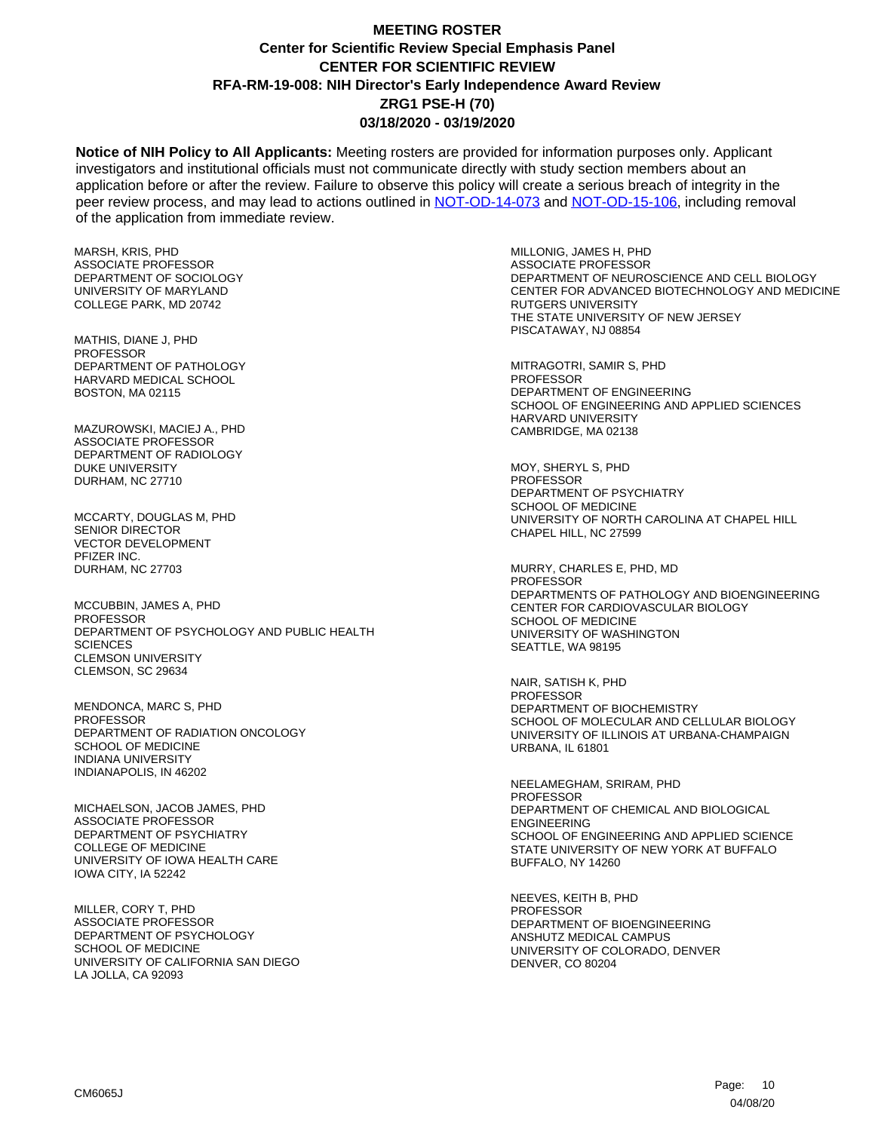**Notice of NIH Policy to All Applicants:** Meeting rosters are provided for information purposes only. Applicant investigators and institutional officials must not communicate directly with study section members about an application before or after the review. Failure to observe this policy will create a serious breach of integrity in the peer review process, and may lead to actions outlined in [NOT-OD-14-073](https://grants.nih.gov/grants/guide/notice-files/NOT-OD-14-073.html) and [NOT-OD-15-106,](https://grants.nih.gov/grants/guide/notice-files/NOT-OD-15-106.html) including removal of the application from immediate review.

MARSH, KRIS, PHD ASSOCIATE PROFESSOR DEPARTMENT OF SOCIOLOGY UNIVERSITY OF MARYLAND COLLEGE PARK, MD 20742

MATHIS, DIANE J, PHD **PROFESSOR** DEPARTMENT OF PATHOLOGY HARVARD MEDICAL SCHOOL BOSTON, MA 02115

MAZUROWSKI, MACIEJ A., PHD ASSOCIATE PROFESSOR DEPARTMENT OF RADIOLOGY DUKE UNIVERSITY DURHAM, NC 27710

MCCARTY, DOUGLAS M, PHD SENIOR DIRECTOR VECTOR DEVELOPMENT PFIZER INC. DURHAM, NC 27703

MCCUBBIN, JAMES A, PHD PROFESSOR DEPARTMENT OF PSYCHOLOGY AND PUBLIC HEALTH **SCIENCES** CLEMSON UNIVERSITY CLEMSON, SC 29634

MENDONCA, MARC S, PHD PROFESSOR DEPARTMENT OF RADIATION ONCOLOGY SCHOOL OF MEDICINE INDIANA UNIVERSITY INDIANAPOLIS, IN 46202

MICHAELSON, JACOB JAMES, PHD ASSOCIATE PROFESSOR DEPARTMENT OF PSYCHIATRY COLLEGE OF MEDICINE UNIVERSITY OF IOWA HEALTH CARE IOWA CITY, IA 52242

MILLER, CORY T, PHD ASSOCIATE PROFESSOR DEPARTMENT OF PSYCHOLOGY SCHOOL OF MEDICINE UNIVERSITY OF CALIFORNIA SAN DIEGO LA JOLLA, CA 92093

MILLONIG, JAMES H, PHD ASSOCIATE PROFESSOR DEPARTMENT OF NEUROSCIENCE AND CELL BIOLOGY CENTER FOR ADVANCED BIOTECHNOLOGY AND MEDICINE RUTGERS UNIVERSITY THE STATE UNIVERSITY OF NEW JERSEY PISCATAWAY, NJ 08854

MITRAGOTRI, SAMIR S, PHD **PROFESSOR** DEPARTMENT OF ENGINEERING SCHOOL OF ENGINEERING AND APPLIED SCIENCES HARVARD UNIVERSITY CAMBRIDGE, MA 02138

MOY, SHERYL S, PHD **PROFESSOR** DEPARTMENT OF PSYCHIATRY SCHOOL OF MEDICINE UNIVERSITY OF NORTH CAROLINA AT CHAPEL HILL CHAPEL HILL, NC 27599

MURRY, CHARLES E, PHD, MD PROFESSOR DEPARTMENTS OF PATHOLOGY AND BIOENGINEERING CENTER FOR CARDIOVASCULAR BIOLOGY SCHOOL OF MEDICINE UNIVERSITY OF WASHINGTON SEATTLE, WA 98195

NAIR, SATISH K, PHD PROFESSOR DEPARTMENT OF BIOCHEMISTRY SCHOOL OF MOLECULAR AND CELLULAR BIOLOGY UNIVERSITY OF ILLINOIS AT URBANA-CHAMPAIGN URBANA, IL 61801

NEELAMEGHAM, SRIRAM, PHD **PROFESSOR** DEPARTMENT OF CHEMICAL AND BIOLOGICAL ENGINEERING SCHOOL OF ENGINEERING AND APPLIED SCIENCE STATE UNIVERSITY OF NEW YORK AT BUFFALO BUFFALO, NY 14260

NEEVES, KEITH B, PHD PROFESSOR DEPARTMENT OF BIOENGINEERING ANSHUTZ MEDICAL CAMPUS UNIVERSITY OF COLORADO, DENVER DENVER, CO 80204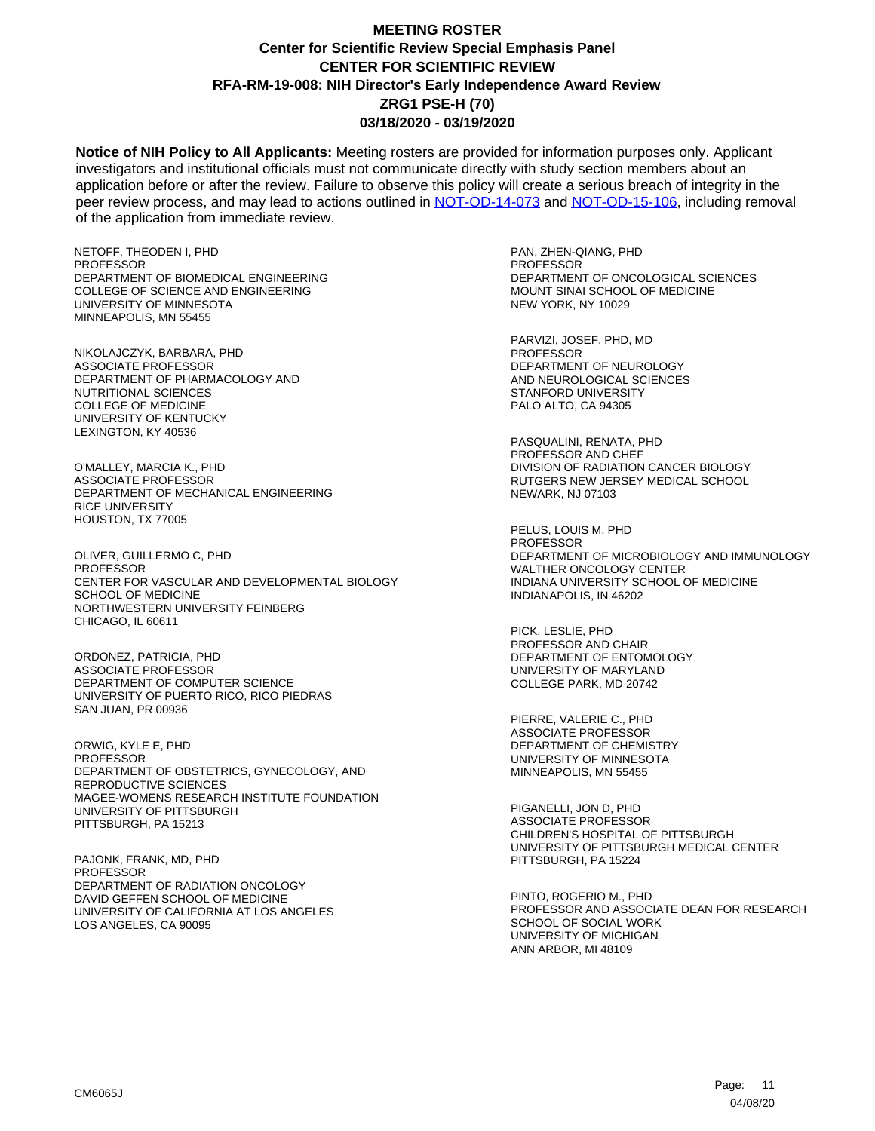**Notice of NIH Policy to All Applicants:** Meeting rosters are provided for information purposes only. Applicant investigators and institutional officials must not communicate directly with study section members about an application before or after the review. Failure to observe this policy will create a serious breach of integrity in the peer review process, and may lead to actions outlined in [NOT-OD-14-073](https://grants.nih.gov/grants/guide/notice-files/NOT-OD-14-073.html) and [NOT-OD-15-106,](https://grants.nih.gov/grants/guide/notice-files/NOT-OD-15-106.html) including removal of the application from immediate review.

NETOFF, THEODEN I, PHD PROFESSOR DEPARTMENT OF BIOMEDICAL ENGINEERING COLLEGE OF SCIENCE AND ENGINEERING UNIVERSITY OF MINNESOTA MINNEAPOLIS, MN 55455

NIKOLAJCZYK, BARBARA, PHD ASSOCIATE PROFESSOR DEPARTMENT OF PHARMACOLOGY AND NUTRITIONAL SCIENCES COLLEGE OF MEDICINE UNIVERSITY OF KENTUCKY LEXINGTON, KY 40536

O'MALLEY, MARCIA K., PHD ASSOCIATE PROFESSOR DEPARTMENT OF MECHANICAL ENGINEERING RICE UNIVERSITY HOUSTON, TX 77005

OLIVER, GUILLERMO C, PHD PROFESSOR CENTER FOR VASCULAR AND DEVELOPMENTAL BIOLOGY SCHOOL OF MEDICINE NORTHWESTERN UNIVERSITY FEINBERG CHICAGO, IL 60611

ORDONEZ, PATRICIA, PHD ASSOCIATE PROFESSOR DEPARTMENT OF COMPUTER SCIENCE UNIVERSITY OF PUERTO RICO, RICO PIEDRAS SAN JUAN, PR 00936

ORWIG, KYLE E, PHD PROFESSOR DEPARTMENT OF OBSTETRICS, GYNECOLOGY, AND REPRODUCTIVE SCIENCES MAGEE-WOMENS RESEARCH INSTITUTE FOUNDATION UNIVERSITY OF PITTSBURGH PITTSBURGH, PA 15213

PAJONK, FRANK, MD, PHD PROFESSOR DEPARTMENT OF RADIATION ONCOLOGY DAVID GEFFEN SCHOOL OF MEDICINE UNIVERSITY OF CALIFORNIA AT LOS ANGELES LOS ANGELES, CA 90095

PAN, ZHEN-QIANG, PHD **PROFESSOR** DEPARTMENT OF ONCOLOGICAL SCIENCES MOUNT SINAI SCHOOL OF MEDICINE NEW YORK, NY 10029

PARVIZI, JOSEF, PHD, MD **PROFESSOR** DEPARTMENT OF NEUROLOGY AND NEUROLOGICAL SCIENCES STANFORD UNIVERSITY PALO ALTO, CA 94305

PASQUALINI, RENATA, PHD PROFESSOR AND CHEF DIVISION OF RADIATION CANCER BIOLOGY RUTGERS NEW JERSEY MEDICAL SCHOOL NEWARK, NJ 07103

PELUS, LOUIS M, PHD PROFESSOR DEPARTMENT OF MICROBIOLOGY AND IMMUNOLOGY WALTHER ONCOLOGY CENTER INDIANA UNIVERSITY SCHOOL OF MEDICINE INDIANAPOLIS, IN 46202

PICK, LESLIE, PHD PROFESSOR AND CHAIR DEPARTMENT OF ENTOMOLOGY UNIVERSITY OF MARYLAND COLLEGE PARK, MD 20742

PIERRE, VALERIE C., PHD ASSOCIATE PROFESSOR DEPARTMENT OF CHEMISTRY UNIVERSITY OF MINNESOTA MINNEAPOLIS, MN 55455

PIGANELLI, JON D, PHD ASSOCIATE PROFESSOR CHILDREN'S HOSPITAL OF PITTSBURGH UNIVERSITY OF PITTSBURGH MEDICAL CENTER PITTSBURGH, PA 15224

PINTO, ROGERIO M., PHD PROFESSOR AND ASSOCIATE DEAN FOR RESEARCH SCHOOL OF SOCIAL WORK UNIVERSITY OF MICHIGAN ANN ARBOR, MI 48109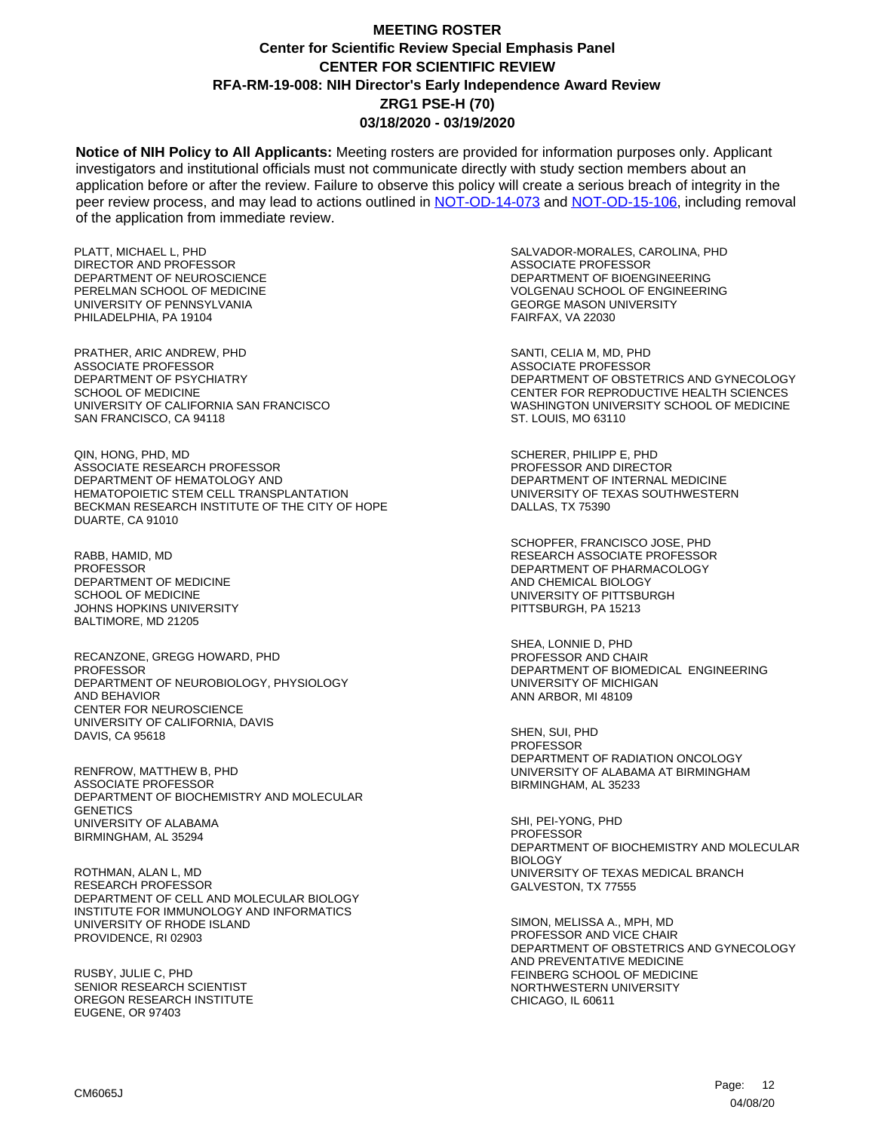**Notice of NIH Policy to All Applicants:** Meeting rosters are provided for information purposes only. Applicant investigators and institutional officials must not communicate directly with study section members about an application before or after the review. Failure to observe this policy will create a serious breach of integrity in the peer review process, and may lead to actions outlined in [NOT-OD-14-073](https://grants.nih.gov/grants/guide/notice-files/NOT-OD-14-073.html) and [NOT-OD-15-106,](https://grants.nih.gov/grants/guide/notice-files/NOT-OD-15-106.html) including removal of the application from immediate review.

PLATT, MICHAEL L, PHD DIRECTOR AND PROFESSOR DEPARTMENT OF NEUROSCIENCE PERELMAN SCHOOL OF MEDICINE UNIVERSITY OF PENNSYLVANIA PHILADELPHIA, PA 19104

PRATHER, ARIC ANDREW, PHD ASSOCIATE PROFESSOR DEPARTMENT OF PSYCHIATRY SCHOOL OF MEDICINE UNIVERSITY OF CALIFORNIA SAN FRANCISCO SAN FRANCISCO, CA 94118

QIN, HONG, PHD, MD ASSOCIATE RESEARCH PROFESSOR DEPARTMENT OF HEMATOLOGY AND HEMATOPOIETIC STEM CELL TRANSPLANTATION BECKMAN RESEARCH INSTITUTE OF THE CITY OF HOPE DUARTE, CA 91010

RABB, HAMID, MD PROFESSOR DEPARTMENT OF MEDICINE SCHOOL OF MEDICINE JOHNS HOPKINS UNIVERSITY BALTIMORE, MD 21205

RECANZONE, GREGG HOWARD, PHD PROFESSOR DEPARTMENT OF NEUROBIOLOGY, PHYSIOLOGY AND BEHAVIOR CENTER FOR NEUROSCIENCE UNIVERSITY OF CALIFORNIA, DAVIS DAVIS, CA 95618

RENFROW, MATTHEW B, PHD ASSOCIATE PROFESSOR DEPARTMENT OF BIOCHEMISTRY AND MOLECULAR GENETICS UNIVERSITY OF ALABAMA BIRMINGHAM, AL 35294

ROTHMAN, ALAN L, MD RESEARCH PROFESSOR DEPARTMENT OF CELL AND MOLECULAR BIOLOGY INSTITUTE FOR IMMUNOLOGY AND INFORMATICS UNIVERSITY OF RHODE ISLAND PROVIDENCE, RI 02903

RUSBY, JULIE C, PHD SENIOR RESEARCH SCIENTIST OREGON RESEARCH INSTITUTE EUGENE, OR 97403

SALVADOR-MORALES, CAROLINA, PHD ASSOCIATE PROFESSOR DEPARTMENT OF BIOENGINEERING VOLGENAU SCHOOL OF ENGINEERING GEORGE MASON UNIVERSITY FAIRFAX, VA 22030

SANTI, CELIA M, MD, PHD ASSOCIATE PROFESSOR DEPARTMENT OF OBSTETRICS AND GYNECOLOGY CENTER FOR REPRODUCTIVE HEALTH SCIENCES WASHINGTON UNIVERSITY SCHOOL OF MEDICINE ST. LOUIS, MO 63110

SCHERER, PHILIPP E, PHD PROFESSOR AND DIRECTOR DEPARTMENT OF INTERNAL MEDICINE UNIVERSITY OF TEXAS SOUTHWESTERN DALLAS, TX 75390

SCHOPFER, FRANCISCO JOSE, PHD RESEARCH ASSOCIATE PROFESSOR DEPARTMENT OF PHARMACOLOGY AND CHEMICAL BIOLOGY UNIVERSITY OF PITTSBURGH PITTSBURGH, PA 15213

SHEA, LONNIE D, PHD PROFESSOR AND CHAIR DEPARTMENT OF BIOMEDICAL ENGINEERING UNIVERSITY OF MICHIGAN ANN ARBOR, MI 48109

SHEN, SUI, PHD **PROFESSOR** DEPARTMENT OF RADIATION ONCOLOGY UNIVERSITY OF ALABAMA AT BIRMINGHAM BIRMINGHAM, AL 35233

SHI, PEI-YONG, PHD PROFESSOR DEPARTMENT OF BIOCHEMISTRY AND MOLECULAR BIOLOGY UNIVERSITY OF TEXAS MEDICAL BRANCH GALVESTON, TX 77555

SIMON, MELISSA A., MPH, MD PROFESSOR AND VICE CHAIR DEPARTMENT OF OBSTETRICS AND GYNECOLOGY AND PREVENTATIVE MEDICINE FEINBERG SCHOOL OF MEDICINE NORTHWESTERN UNIVERSITY CHICAGO, IL 60611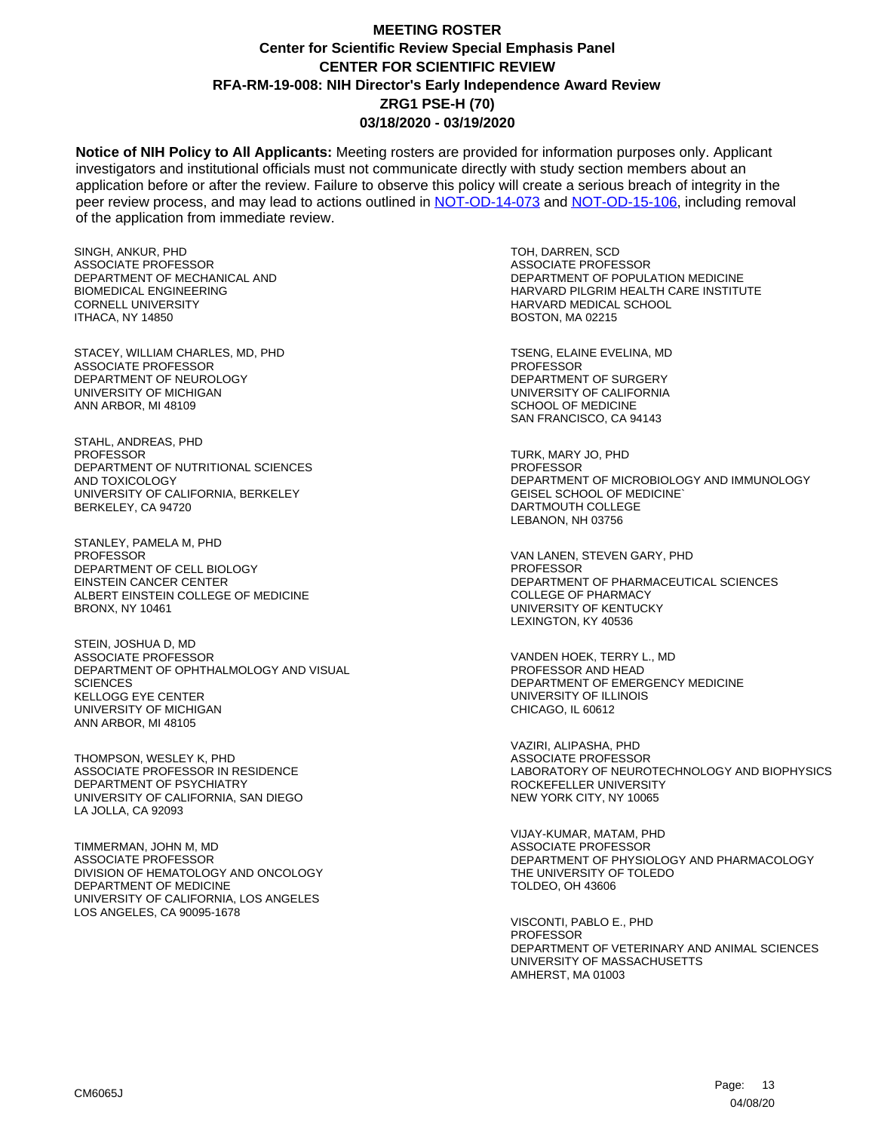**Notice of NIH Policy to All Applicants:** Meeting rosters are provided for information purposes only. Applicant investigators and institutional officials must not communicate directly with study section members about an application before or after the review. Failure to observe this policy will create a serious breach of integrity in the peer review process, and may lead to actions outlined in [NOT-OD-14-073](https://grants.nih.gov/grants/guide/notice-files/NOT-OD-14-073.html) and [NOT-OD-15-106,](https://grants.nih.gov/grants/guide/notice-files/NOT-OD-15-106.html) including removal of the application from immediate review.

SINGH, ANKUR, PHD ASSOCIATE PROFESSOR DEPARTMENT OF MECHANICAL AND BIOMEDICAL ENGINEERING CORNELL UNIVERSITY ITHACA, NY 14850

STACEY, WILLIAM CHARLES, MD, PHD ASSOCIATE PROFESSOR DEPARTMENT OF NEUROLOGY UNIVERSITY OF MICHIGAN ANN ARBOR, MI 48109

STAHL, ANDREAS, PHD **PROFESSOR** DEPARTMENT OF NUTRITIONAL SCIENCES AND TOXICOLOGY UNIVERSITY OF CALIFORNIA, BERKELEY BERKELEY, CA 94720

STANLEY, PAMELA M, PHD **PROFESSOR** DEPARTMENT OF CELL BIOLOGY EINSTEIN CANCER CENTER ALBERT EINSTEIN COLLEGE OF MEDICINE BRONX, NY 10461

STEIN, JOSHUA D, MD ASSOCIATE PROFESSOR DEPARTMENT OF OPHTHALMOLOGY AND VISUAL **SCIENCES** KELLOGG EYE CENTER UNIVERSITY OF MICHIGAN ANN ARBOR, MI 48105

THOMPSON, WESLEY K, PHD ASSOCIATE PROFESSOR IN RESIDENCE DEPARTMENT OF PSYCHIATRY UNIVERSITY OF CALIFORNIA, SAN DIEGO LA JOLLA, CA 92093

TIMMERMAN, JOHN M, MD ASSOCIATE PROFESSOR DIVISION OF HEMATOLOGY AND ONCOLOGY DEPARTMENT OF MEDICINE UNIVERSITY OF CALIFORNIA, LOS ANGELES LOS ANGELES, CA 90095-1678

TOH, DARREN, SCD ASSOCIATE PROFESSOR DEPARTMENT OF POPULATION MEDICINE HARVARD PILGRIM HEALTH CARE INSTITUTE HARVARD MEDICAL SCHOOL BOSTON, MA 02215

TSENG, ELAINE EVELINA, MD **PROFESSOR** DEPARTMENT OF SURGERY UNIVERSITY OF CALIFORNIA SCHOOL OF MEDICINE SAN FRANCISCO, CA 94143

TURK, MARY JO, PHD PROFESSOR DEPARTMENT OF MICROBIOLOGY AND IMMUNOLOGY GEISEL SCHOOL OF MEDICINE` DARTMOUTH COLLEGE LEBANON, NH 03756

VAN LANEN, STEVEN GARY, PHD PROFESSOR DEPARTMENT OF PHARMACEUTICAL SCIENCES COLLEGE OF PHARMACY UNIVERSITY OF KENTUCKY LEXINGTON, KY 40536

VANDEN HOEK, TERRY L., MD PROFESSOR AND HEAD DEPARTMENT OF EMERGENCY MEDICINE UNIVERSITY OF ILLINOIS CHICAGO, IL 60612

VAZIRI, ALIPASHA, PHD ASSOCIATE PROFESSOR LABORATORY OF NEUROTECHNOLOGY AND BIOPHYSICS ROCKEFELLER UNIVERSITY NEW YORK CITY, NY 10065

VIJAY-KUMAR, MATAM, PHD ASSOCIATE PROFESSOR DEPARTMENT OF PHYSIOLOGY AND PHARMACOLOGY THE UNIVERSITY OF TOLEDO TOLDEO, OH 43606

VISCONTI, PABLO E., PHD PROFESSOR DEPARTMENT OF VETERINARY AND ANIMAL SCIENCES UNIVERSITY OF MASSACHUSETTS AMHERST, MA 01003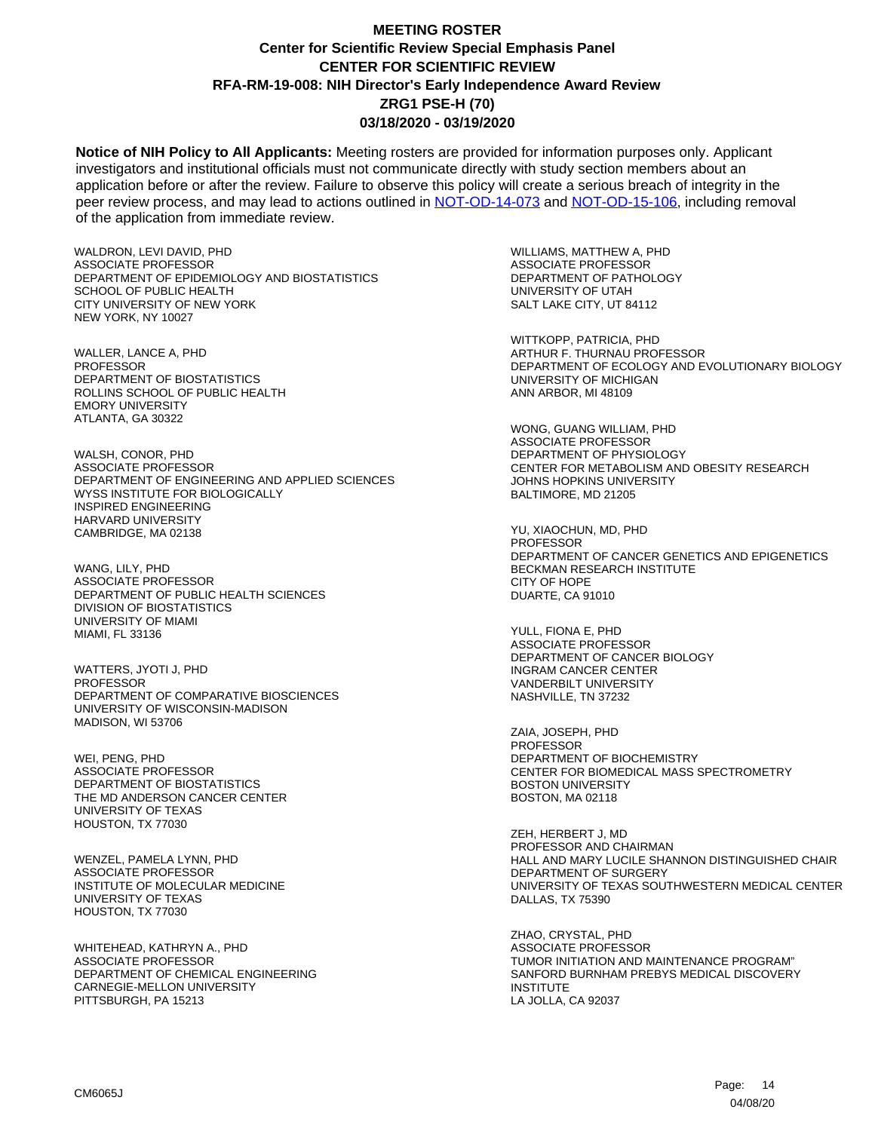**Notice of NIH Policy to All Applicants:** Meeting rosters are provided for information purposes only. Applicant investigators and institutional officials must not communicate directly with study section members about an application before or after the review. Failure to observe this policy will create a serious breach of integrity in the peer review process, and may lead to actions outlined in [NOT-OD-14-073](https://grants.nih.gov/grants/guide/notice-files/NOT-OD-14-073.html) and [NOT-OD-15-106,](https://grants.nih.gov/grants/guide/notice-files/NOT-OD-15-106.html) including removal of the application from immediate review.

WALDRON, LEVI DAVID, PHD ASSOCIATE PROFESSOR DEPARTMENT OF EPIDEMIOLOGY AND BIOSTATISTICS SCHOOL OF PUBLIC HEALTH CITY UNIVERSITY OF NEW YORK NEW YORK, NY 10027

WALLER, LANCE A, PHD **PROFESSOR** DEPARTMENT OF BIOSTATISTICS ROLLINS SCHOOL OF PUBLIC HEALTH EMORY UNIVERSITY ATLANTA, GA 30322

WALSH, CONOR, PHD ASSOCIATE PROFESSOR DEPARTMENT OF ENGINEERING AND APPLIED SCIENCES WYSS INSTITUTE FOR BIOLOGICALLY INSPIRED ENGINEERING HARVARD UNIVERSITY CAMBRIDGE, MA 02138

WANG, LILY, PHD ASSOCIATE PROFESSOR DEPARTMENT OF PUBLIC HEALTH SCIENCES DIVISION OF BIOSTATISTICS UNIVERSITY OF MIAMI MIAMI, FL 33136

WATTERS, JYOTI J, PHD PROFESSOR DEPARTMENT OF COMPARATIVE BIOSCIENCES UNIVERSITY OF WISCONSIN-MADISON MADISON, WI 53706

WEI, PENG, PHD ASSOCIATE PROFESSOR DEPARTMENT OF BIOSTATISTICS THE MD ANDERSON CANCER CENTER UNIVERSITY OF TEXAS HOUSTON, TX 77030

WENZEL, PAMELA LYNN, PHD ASSOCIATE PROFESSOR INSTITUTE OF MOLECULAR MEDICINE UNIVERSITY OF TEXAS HOUSTON, TX 77030

WHITEHEAD, KATHRYN A., PHD ASSOCIATE PROFESSOR DEPARTMENT OF CHEMICAL ENGINEERING CARNEGIE-MELLON UNIVERSITY PITTSBURGH, PA 15213

WILLIAMS, MATTHEW A, PHD ASSOCIATE PROFESSOR DEPARTMENT OF PATHOLOGY UNIVERSITY OF UTAH SALT LAKE CITY, UT 84112

WITTKOPP, PATRICIA, PHD ARTHUR F. THURNAU PROFESSOR DEPARTMENT OF ECOLOGY AND EVOLUTIONARY BIOLOGY UNIVERSITY OF MICHIGAN ANN ARBOR, MI 48109

WONG, GUANG WILLIAM, PHD ASSOCIATE PROFESSOR DEPARTMENT OF PHYSIOLOGY CENTER FOR METABOLISM AND OBESITY RESEARCH JOHNS HOPKINS UNIVERSITY BALTIMORE, MD 21205

YU, XIAOCHUN, MD, PHD PROFESSOR DEPARTMENT OF CANCER GENETICS AND EPIGENETICS BECKMAN RESEARCH INSTITUTE CITY OF HOPE DUARTE, CA 91010

YULL, FIONA E, PHD ASSOCIATE PROFESSOR DEPARTMENT OF CANCER BIOLOGY INGRAM CANCER CENTER VANDERBILT UNIVERSITY NASHVILLE, TN 37232

ZAIA, JOSEPH, PHD **PROFESSOR** DEPARTMENT OF BIOCHEMISTRY CENTER FOR BIOMEDICAL MASS SPECTROMETRY BOSTON UNIVERSITY BOSTON, MA 02118

ZEH, HERBERT J, MD PROFESSOR AND CHAIRMAN HALL AND MARY LUCILE SHANNON DISTINGUISHED CHAIR DEPARTMENT OF SURGERY UNIVERSITY OF TEXAS SOUTHWESTERN MEDICAL CENTER DALLAS, TX 75390

ZHAO, CRYSTAL, PHD ASSOCIATE PROFESSOR TUMOR INITIATION AND MAINTENANCE PROGRAM" SANFORD BURNHAM PREBYS MEDICAL DISCOVERY **INSTITUTE** LA JOLLA, CA 92037